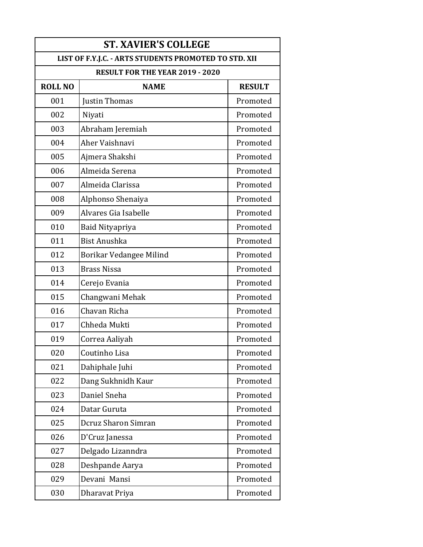| <b>ST. XAVIER'S COLLEGE</b>                           |                                 |               |  |
|-------------------------------------------------------|---------------------------------|---------------|--|
| LIST OF F.Y.J.C. - ARTS STUDENTS PROMOTED TO STD. XII |                                 |               |  |
|                                                       | RESULT FOR THE YEAR 2019 - 2020 |               |  |
| <b>ROLL NO</b>                                        | <b>NAME</b>                     | <b>RESULT</b> |  |
| 001                                                   | Justin Thomas                   | Promoted      |  |
| 002                                                   | Niyati                          | Promoted      |  |
| 003                                                   | Abraham Jeremiah                | Promoted      |  |
| 004                                                   | Aher Vaishnavi                  | Promoted      |  |
| 005                                                   | Ajmera Shakshi                  | Promoted      |  |
| 006                                                   | Almeida Serena                  | Promoted      |  |
| 007                                                   | Almeida Clarissa                | Promoted      |  |
| 008                                                   | Alphonso Shenaiya               | Promoted      |  |
| 009                                                   | Alvares Gia Isabelle            | Promoted      |  |
| 010                                                   | Baid Nityapriya                 | Promoted      |  |
| 011                                                   | <b>Bist Anushka</b>             | Promoted      |  |
| 012                                                   | Borikar Vedangee Milind         | Promoted      |  |
| 013                                                   | <b>Brass Nissa</b>              | Promoted      |  |
| 014                                                   | Cerejo Evania                   | Promoted      |  |
| 015                                                   | Changwani Mehak                 | Promoted      |  |
| 016                                                   | Chavan Richa                    | Promoted      |  |
| 017                                                   | Chheda Mukti                    | Promoted      |  |
| 019                                                   | Correa Aaliyah                  | Promoted      |  |
| 020                                                   | Coutinho Lisa                   | Promoted      |  |
| 021                                                   | Dahiphale Juhi                  | Promoted      |  |
| 022                                                   | Dang Sukhnidh Kaur              | Promoted      |  |
| 023                                                   | Daniel Sneha                    | Promoted      |  |
| 024                                                   | Datar Guruta                    | Promoted      |  |
| 025                                                   | Dcruz Sharon Simran             | Promoted      |  |
| 026                                                   | D'Cruz Janessa                  | Promoted      |  |
| 027                                                   | Delgado Lizanndra               | Promoted      |  |
| 028                                                   | Deshpande Aarya                 | Promoted      |  |
| 029                                                   | Devani Mansi                    | Promoted      |  |
| 030                                                   | Dharavat Priya                  | Promoted      |  |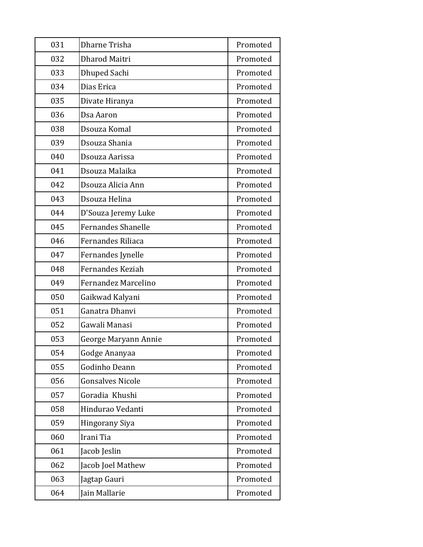| 031 | Dharne Trisha             | Promoted |
|-----|---------------------------|----------|
| 032 | Dharod Maitri             | Promoted |
| 033 | Dhuped Sachi              | Promoted |
| 034 | Dias Erica                | Promoted |
| 035 | Divate Hiranya            | Promoted |
| 036 | Dsa Aaron                 | Promoted |
| 038 | Dsouza Komal              | Promoted |
| 039 | Dsouza Shania             | Promoted |
| 040 | Dsouza Aarissa            | Promoted |
| 041 | Dsouza Malaika            | Promoted |
| 042 | Dsouza Alicia Ann         | Promoted |
| 043 | Dsouza Helina             | Promoted |
| 044 | D'Souza Jeremy Luke       | Promoted |
| 045 | <b>Fernandes Shanelle</b> | Promoted |
| 046 | Fernandes Riliaca         | Promoted |
| 047 | Fernandes Jynelle         | Promoted |
| 048 | Fernandes Keziah          | Promoted |
| 049 | Fernandez Marcelino       | Promoted |
| 050 | Gaikwad Kalyani           | Promoted |
| 051 | Ganatra Dhanvi            | Promoted |
| 052 | Gawali Manasi             | Promoted |
| 053 | George Maryann Annie      | Promoted |
| 054 | Godge Ananyaa             | Promoted |
| 055 | Godinho Deann             | Promoted |
| 056 | <b>Gonsalves Nicole</b>   | Promoted |
| 057 | Goradia Khushi            | Promoted |
| 058 | Hindurao Vedanti          | Promoted |
| 059 | <b>Hingorany Siya</b>     | Promoted |
| 060 | Irani Tia                 | Promoted |
| 061 | Jacob Jeslin              | Promoted |
| 062 | Jacob Joel Mathew         | Promoted |
| 063 | Jagtap Gauri              | Promoted |
| 064 | Jain Mallarie             | Promoted |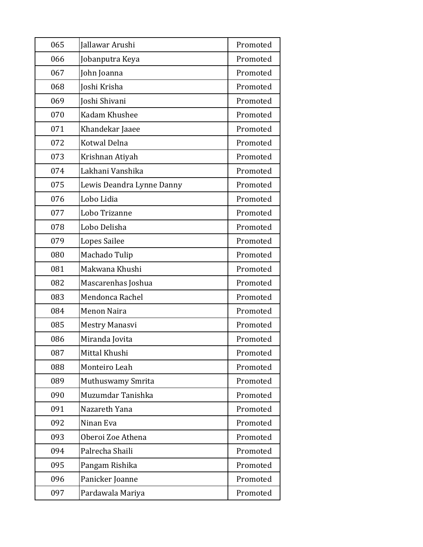| 065 | Jallawar Arushi           | Promoted |
|-----|---------------------------|----------|
| 066 | Jobanputra Keya           | Promoted |
| 067 | John Joanna               | Promoted |
| 068 | Joshi Krisha              | Promoted |
| 069 | Joshi Shivani             | Promoted |
| 070 | Kadam Khushee             | Promoted |
| 071 | Khandekar Jaaee           | Promoted |
| 072 | Kotwal Delna              | Promoted |
| 073 | Krishnan Atiyah           | Promoted |
| 074 | Lakhani Vanshika          | Promoted |
| 075 | Lewis Deandra Lynne Danny | Promoted |
| 076 | Lobo Lidia                | Promoted |
| 077 | Lobo Trizanne             | Promoted |
| 078 | Lobo Delisha              | Promoted |
| 079 | Lopes Sailee              | Promoted |
| 080 | Machado Tulip             | Promoted |
| 081 | Makwana Khushi            | Promoted |
| 082 | Mascarenhas Joshua        | Promoted |
| 083 | Mendonca Rachel           | Promoted |
| 084 | <b>Menon Naira</b>        | Promoted |
| 085 | Mestry Manasvi            | Promoted |
| 086 | Miranda Jovita            | Promoted |
| 087 | Mittal Khushi             | Promoted |
| 088 | Monteiro Leah             | Promoted |
| 089 | Muthuswamy Smrita         | Promoted |
| 090 | Muzumdar Tanishka         | Promoted |
| 091 | Nazareth Yana             | Promoted |
| 092 | Ninan Eva                 | Promoted |
| 093 | Oberoi Zoe Athena         | Promoted |
| 094 | Palrecha Shaili           | Promoted |
| 095 | Pangam Rishika            | Promoted |
| 096 | Panicker Joanne           | Promoted |
| 097 | Pardawala Mariya          | Promoted |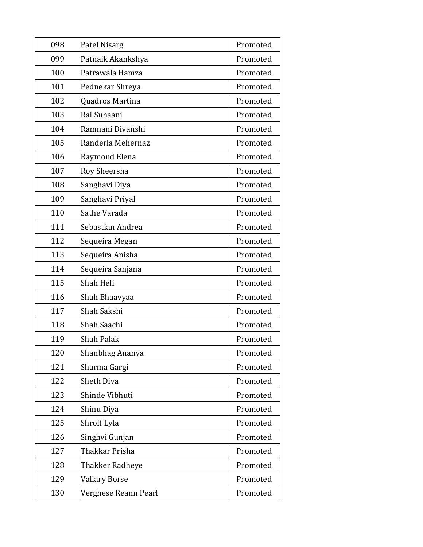| 098 | Patel Nisarg         | Promoted |
|-----|----------------------|----------|
| 099 | Patnaik Akankshya    | Promoted |
| 100 | Patrawala Hamza      | Promoted |
| 101 | Pednekar Shreya      | Promoted |
| 102 | Quadros Martina      | Promoted |
| 103 | Rai Suhaani          | Promoted |
| 104 | Ramnani Divanshi     | Promoted |
| 105 | Randeria Mehernaz    | Promoted |
| 106 | Raymond Elena        | Promoted |
| 107 | Roy Sheersha         | Promoted |
| 108 | Sanghavi Diya        | Promoted |
| 109 | Sanghavi Priyal      | Promoted |
| 110 | Sathe Varada         | Promoted |
| 111 | Sebastian Andrea     | Promoted |
| 112 | Sequeira Megan       | Promoted |
| 113 | Sequeira Anisha      | Promoted |
| 114 | Sequeira Sanjana     | Promoted |
| 115 | Shah Heli            | Promoted |
| 116 | Shah Bhaavyaa        | Promoted |
| 117 | Shah Sakshi          | Promoted |
| 118 | Shah Saachi          | Promoted |
| 119 | <b>Shah Palak</b>    | Promoted |
| 120 | Shanbhag Ananya      | Promoted |
| 121 | Sharma Gargi         | Promoted |
| 122 | Sheth Diva           | Promoted |
| 123 | Shinde Vibhuti       | Promoted |
| 124 | Shinu Diya           | Promoted |
| 125 | Shroff Lyla          | Promoted |
| 126 | Singhvi Gunjan       | Promoted |
| 127 | Thakkar Prisha       | Promoted |
| 128 | Thakker Radheye      | Promoted |
| 129 | <b>Vallary Borse</b> | Promoted |
| 130 | Verghese Reann Pearl | Promoted |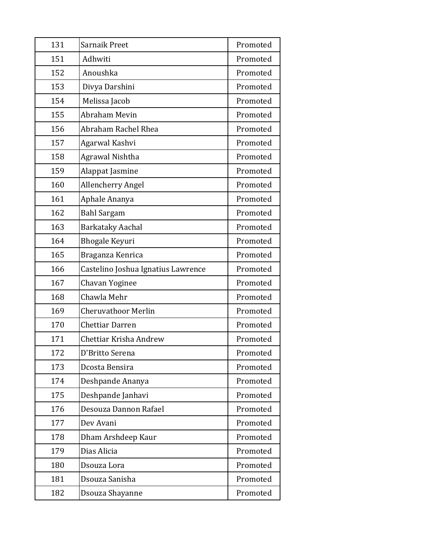| 131 | Sarnaik Preet                      | Promoted |
|-----|------------------------------------|----------|
| 151 | Adhwiti                            | Promoted |
| 152 | Anoushka                           | Promoted |
| 153 | Divya Darshini                     | Promoted |
| 154 | Melissa Jacob                      | Promoted |
| 155 | <b>Abraham Mevin</b>               | Promoted |
| 156 | Abraham Rachel Rhea                | Promoted |
| 157 | Agarwal Kashvi                     | Promoted |
| 158 | Agrawal Nishtha                    | Promoted |
| 159 | Alappat Jasmine                    | Promoted |
| 160 | Allencherry Angel                  | Promoted |
| 161 | Aphale Ananya                      | Promoted |
| 162 | <b>Bahl Sargam</b>                 | Promoted |
| 163 | <b>Barkataky Aachal</b>            | Promoted |
| 164 | <b>Bhogale Keyuri</b>              | Promoted |
| 165 | Braganza Kenrica                   | Promoted |
| 166 | Castelino Joshua Ignatius Lawrence | Promoted |
| 167 | Chavan Yoginee                     | Promoted |
| 168 | Chawla Mehr                        | Promoted |
| 169 | <b>Cheruvathoor Merlin</b>         | Promoted |
| 170 | <b>Chettiar Darren</b>             | Promoted |
| 171 | Chettiar Krisha Andrew             | Promoted |
| 172 | D'Britto Serena                    | Promoted |
| 173 | Dcosta Bensira                     | Promoted |
| 174 | Deshpande Ananya                   | Promoted |
| 175 | Deshpande Janhavi                  | Promoted |
| 176 | Desouza Dannon Rafael              | Promoted |
| 177 | Dev Avani                          | Promoted |
| 178 | Dham Arshdeep Kaur                 | Promoted |
| 179 | Dias Alicia                        | Promoted |
| 180 | Dsouza Lora                        | Promoted |
| 181 | Dsouza Sanisha                     | Promoted |
| 182 | Dsouza Shayanne                    | Promoted |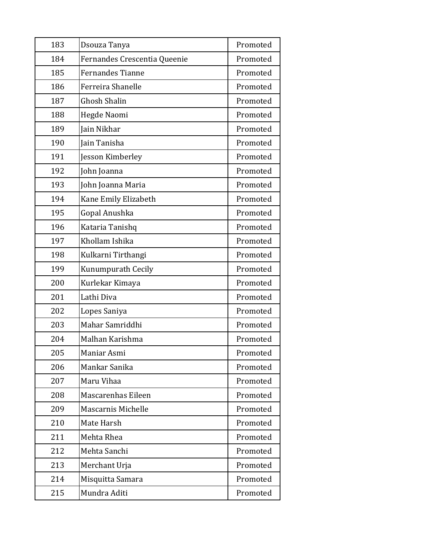| 183 | Dsouza Tanya                 | Promoted |
|-----|------------------------------|----------|
| 184 | Fernandes Crescentia Queenie | Promoted |
| 185 | <b>Fernandes Tianne</b>      | Promoted |
| 186 | Ferreira Shanelle            | Promoted |
| 187 | <b>Ghosh Shalin</b>          | Promoted |
| 188 | Hegde Naomi                  | Promoted |
| 189 | Jain Nikhar                  | Promoted |
| 190 | Jain Tanisha                 | Promoted |
| 191 | Jesson Kimberley             | Promoted |
| 192 | John Joanna                  | Promoted |
| 193 | John Joanna Maria            | Promoted |
| 194 | Kane Emily Elizabeth         | Promoted |
| 195 | Gopal Anushka                | Promoted |
| 196 | Kataria Tanishq              | Promoted |
| 197 | Khollam Ishika               | Promoted |
| 198 | Kulkarni Tirthangi           | Promoted |
| 199 | Kunumpurath Cecily           | Promoted |
| 200 | Kurlekar Kimaya              | Promoted |
| 201 | Lathi Diva                   | Promoted |
| 202 | Lopes Saniya                 | Promoted |
| 203 | Mahar Samriddhi              | Promoted |
| 204 | Malhan Karishma              | Promoted |
| 205 | Maniar Asmi                  | Promoted |
| 206 | Mankar Sanika                | Promoted |
| 207 | Maru Vihaa                   | Promoted |
| 208 | Mascarenhas Eileen           | Promoted |
| 209 | Mascarnis Michelle           | Promoted |
| 210 | Mate Harsh                   | Promoted |
| 211 | Mehta Rhea                   | Promoted |
| 212 | Mehta Sanchi                 | Promoted |
| 213 | Merchant Urja                | Promoted |
| 214 | Misquitta Samara             | Promoted |
| 215 | Mundra Aditi                 | Promoted |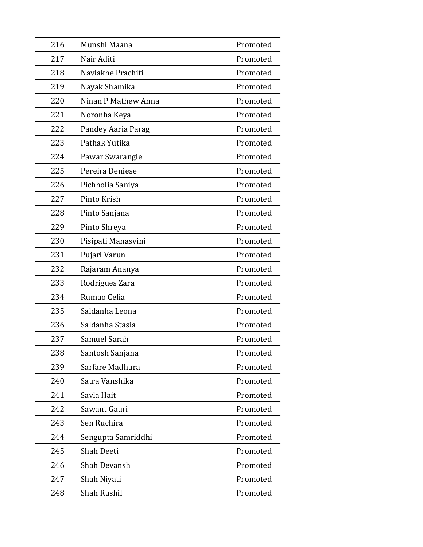| 216 | Munshi Maana        | Promoted |
|-----|---------------------|----------|
| 217 | Nair Aditi          | Promoted |
| 218 | Navlakhe Prachiti   | Promoted |
| 219 | Nayak Shamika       | Promoted |
| 220 | Ninan P Mathew Anna | Promoted |
| 221 | Noronha Keya        | Promoted |
| 222 | Pandey Aaria Parag  | Promoted |
| 223 | Pathak Yutika       | Promoted |
| 224 | Pawar Swarangie     | Promoted |
| 225 | Pereira Deniese     | Promoted |
| 226 | Pichholia Saniya    | Promoted |
| 227 | Pinto Krish         | Promoted |
| 228 | Pinto Sanjana       | Promoted |
| 229 | Pinto Shreya        | Promoted |
| 230 | Pisipati Manasvini  | Promoted |
| 231 | Pujari Varun        | Promoted |
| 232 | Rajaram Ananya      | Promoted |
| 233 | Rodrigues Zara      | Promoted |
| 234 | Rumao Celia         | Promoted |
| 235 | Saldanha Leona      | Promoted |
| 236 | Saldanha Stasia     | Promoted |
| 237 | Samuel Sarah        | Promoted |
| 238 | Santosh Sanjana     | Promoted |
| 239 | Sarfare Madhura     | Promoted |
| 240 | Satra Vanshika      | Promoted |
| 241 | Savla Hait          | Promoted |
| 242 | Sawant Gauri        | Promoted |
| 243 | Sen Ruchira         | Promoted |
| 244 | Sengupta Samriddhi  | Promoted |
| 245 | Shah Deeti          | Promoted |
| 246 | Shah Devansh        | Promoted |
| 247 | Shah Niyati         | Promoted |
| 248 | Shah Rushil         | Promoted |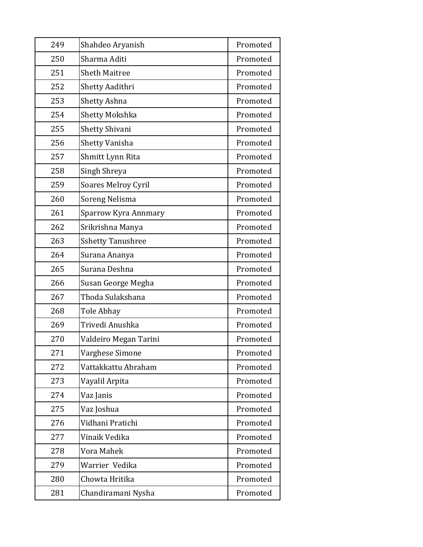| 249 | Shahdeo Aryanish         | Promoted |
|-----|--------------------------|----------|
| 250 | Sharma Aditi             | Promoted |
| 251 | <b>Sheth Maitree</b>     | Promoted |
| 252 | Shetty Aadithri          | Promoted |
| 253 | Shetty Ashna             | Promoted |
| 254 | Shetty Mokshka           | Promoted |
| 255 | <b>Shetty Shivani</b>    | Promoted |
| 256 | Shetty Vanisha           | Promoted |
| 257 | Shmitt Lynn Rita         | Promoted |
| 258 | Singh Shreya             | Promoted |
| 259 | Soares Melroy Cyril      | Promoted |
| 260 | Soreng Nelisma           | Promoted |
| 261 | Sparrow Kyra Annmary     | Promoted |
| 262 | Srikrishna Manya         | Promoted |
| 263 | <b>Sshetty Tanushree</b> | Promoted |
| 264 | Surana Ananya            | Promoted |
| 265 | Surana Deshna            | Promoted |
| 266 | Susan George Megha       | Promoted |
| 267 | Thoda Sulakshana         | Promoted |
| 268 | Tole Abhay               | Promoted |
| 269 | Trivedi Anushka          | Promoted |
| 270 | Valdeiro Megan Tarini    | Promoted |
| 271 | Varghese Simone          | Promoted |
| 272 | Vattakkattu Abraham      | Promoted |
| 273 | Vayalil Arpita           | Promoted |
| 274 | Vaz Janis                | Promoted |
| 275 | Vaz Joshua               | Promoted |
| 276 | Vidhani Pratichi         | Promoted |
| 277 | Vinaik Vedika            | Promoted |
| 278 | Vora Mahek               | Promoted |
| 279 | Warrier Vedika           | Promoted |
| 280 | Chowta Hritika           | Promoted |
| 281 | Chandiramani Nysha       | Promoted |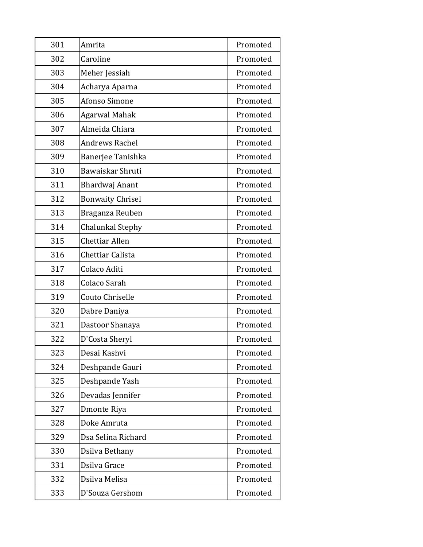| 301 | Amrita                  | Promoted |
|-----|-------------------------|----------|
| 302 | Caroline                | Promoted |
| 303 | Meher Jessiah           | Promoted |
| 304 | Acharya Aparna          | Promoted |
| 305 | Afonso Simone           | Promoted |
| 306 | <b>Agarwal Mahak</b>    | Promoted |
| 307 | Almeida Chiara          | Promoted |
| 308 | <b>Andrews Rachel</b>   | Promoted |
| 309 | Banerjee Tanishka       | Promoted |
| 310 | Bawaiskar Shruti        | Promoted |
| 311 | Bhardwaj Anant          | Promoted |
| 312 | <b>Bonwaity Chrisel</b> | Promoted |
| 313 | Braganza Reuben         | Promoted |
| 314 | Chalunkal Stephy        | Promoted |
| 315 | Chettiar Allen          | Promoted |
| 316 | Chettiar Calista        | Promoted |
| 317 | Colaco Aditi            | Promoted |
| 318 | Colaco Sarah            | Promoted |
| 319 | Couto Chriselle         | Promoted |
| 320 | Dabre Daniya            | Promoted |
| 321 | Dastoor Shanaya         | Promoted |
| 322 | D'Costa Sheryl          | Promoted |
| 323 | Desai Kashvi            | Promoted |
| 324 | Deshpande Gauri         | Promoted |
| 325 | Deshpande Yash          | Promoted |
| 326 | Devadas Jennifer        | Promoted |
| 327 | Dmonte Riya             | Promoted |
| 328 | Doke Amruta             | Promoted |
| 329 | Dsa Selina Richard      | Promoted |
| 330 | Dsilva Bethany          | Promoted |
| 331 | Dsilva Grace            | Promoted |
| 332 | Dsilva Melisa           | Promoted |
| 333 | D'Souza Gershom         | Promoted |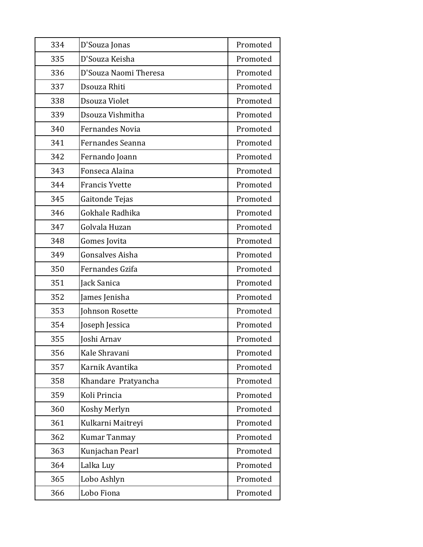| 334 | D'Souza Jonas          | Promoted |
|-----|------------------------|----------|
| 335 | D'Souza Keisha         | Promoted |
| 336 | D'Souza Naomi Theresa  | Promoted |
| 337 | Dsouza Rhiti           | Promoted |
| 338 | Dsouza Violet          | Promoted |
| 339 | Dsouza Vishmitha       | Promoted |
| 340 | <b>Fernandes Novia</b> | Promoted |
| 341 | Fernandes Seanna       | Promoted |
| 342 | Fernando Joann         | Promoted |
| 343 | Fonseca Alaina         | Promoted |
| 344 | <b>Francis Yvette</b>  | Promoted |
| 345 | Gaitonde Tejas         | Promoted |
| 346 | Gokhale Radhika        | Promoted |
| 347 | Golvala Huzan          | Promoted |
| 348 | Gomes Jovita           | Promoted |
| 349 | Gonsalves Aisha        | Promoted |
| 350 | Fernandes Gzifa        | Promoted |
| 351 | Jack Sanica            | Promoted |
| 352 | James Jenisha          | Promoted |
| 353 | Johnson Rosette        | Promoted |
| 354 | Joseph Jessica         | Promoted |
| 355 | Joshi Arnav            | Promoted |
| 356 | Kale Shravani          | Promoted |
| 357 | Karnik Avantika        | Promoted |
| 358 | Khandare Pratyancha    | Promoted |
| 359 | Koli Princia           | Promoted |
| 360 | Koshy Merlyn           | Promoted |
| 361 | Kulkarni Maitreyi      | Promoted |
| 362 | Kumar Tanmay           | Promoted |
| 363 | Kunjachan Pearl        | Promoted |
| 364 | Lalka Luy              | Promoted |
| 365 | Lobo Ashlyn            | Promoted |
| 366 | Lobo Fiona             | Promoted |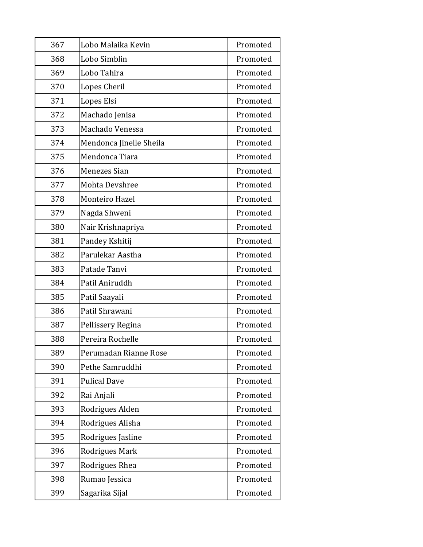| 367 | Lobo Malaika Kevin      | Promoted |
|-----|-------------------------|----------|
| 368 | Lobo Simblin            | Promoted |
| 369 | Lobo Tahira             | Promoted |
| 370 | Lopes Cheril            | Promoted |
| 371 | Lopes Elsi              | Promoted |
| 372 | Machado Jenisa          | Promoted |
| 373 | Machado Venessa         | Promoted |
| 374 | Mendonca Jinelle Sheila | Promoted |
| 375 | Mendonca Tiara          | Promoted |
| 376 | Menezes Sian            | Promoted |
| 377 | Mohta Devshree          | Promoted |
| 378 | Monteiro Hazel          | Promoted |
| 379 | Nagda Shweni            | Promoted |
| 380 | Nair Krishnapriya       | Promoted |
| 381 | Pandey Kshitij          | Promoted |
| 382 | Parulekar Aastha        | Promoted |
| 383 | Patade Tanvi            | Promoted |
| 384 | Patil Aniruddh          | Promoted |
| 385 | Patil Saayali           | Promoted |
| 386 | Patil Shrawani          | Promoted |
| 387 | Pellissery Regina       | Promoted |
| 388 | Pereira Rochelle        | Promoted |
| 389 | Perumadan Rianne Rose   | Promoted |
| 390 | Pethe Samruddhi         | Promoted |
| 391 | <b>Pulical Dave</b>     | Promoted |
| 392 | Rai Anjali              | Promoted |
| 393 | Rodrigues Alden         | Promoted |
| 394 | Rodrigues Alisha        | Promoted |
| 395 | Rodrigues Jasline       | Promoted |
| 396 | Rodrigues Mark          | Promoted |
| 397 | Rodrigues Rhea          | Promoted |
| 398 | Rumao Jessica           | Promoted |
| 399 | Sagarika Sijal          | Promoted |